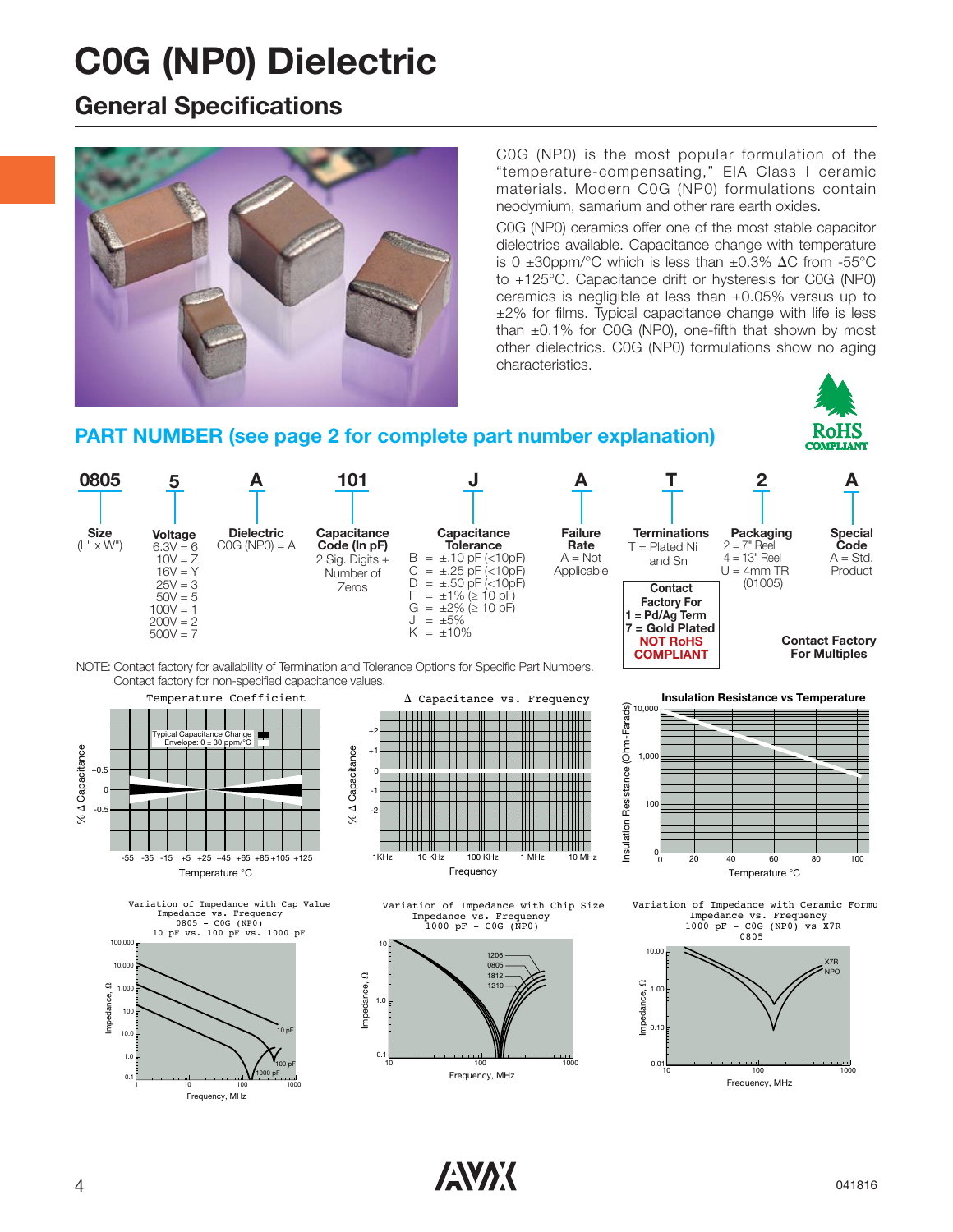### **General Specifications**



C0G (NP0) is the most popular formulation of the "temperature-compensating," EIA Class I ceramic materials. Modern C0G (NP0) formulations contain neodymium, samarium and other rare earth oxides.

C0G (NP0) ceramics offer one of the most stable capacitor dielectrics available. Capacitance change with temperature is 0  $\pm 30$ ppm/°C which is less than  $\pm 0.3\%$   $\Delta$ C from -55°C to +125°C. Capacitance drift or hysteresis for C0G (NP0) ceramics is negligible at less than ±0.05% versus up to ±2% for films. Typical capacitance change with life is less than  $\pm 0.1\%$  for C0G (NP0), one-fifth that shown by most other dielectrics. C0G (NP0) formulations show no aging characteristics.

#### **PART NUMBER (see page 2 for complete part number explanation)**



-55 -35 -15 +5 +25 +45 +65 +85 +105 +125 Temperature °C







Variation of Impedance with Chip Size Impedance vs. Frequency  $1000$  pF - COG (NP0)





Variation of Impedance with Ceramic Formu Impedance vs. Frequency 1000 pF - C0G (NP0) vs X7R



 $\sqrt{N}$  041816

RoHS **MIANT** 

ও<br>%

G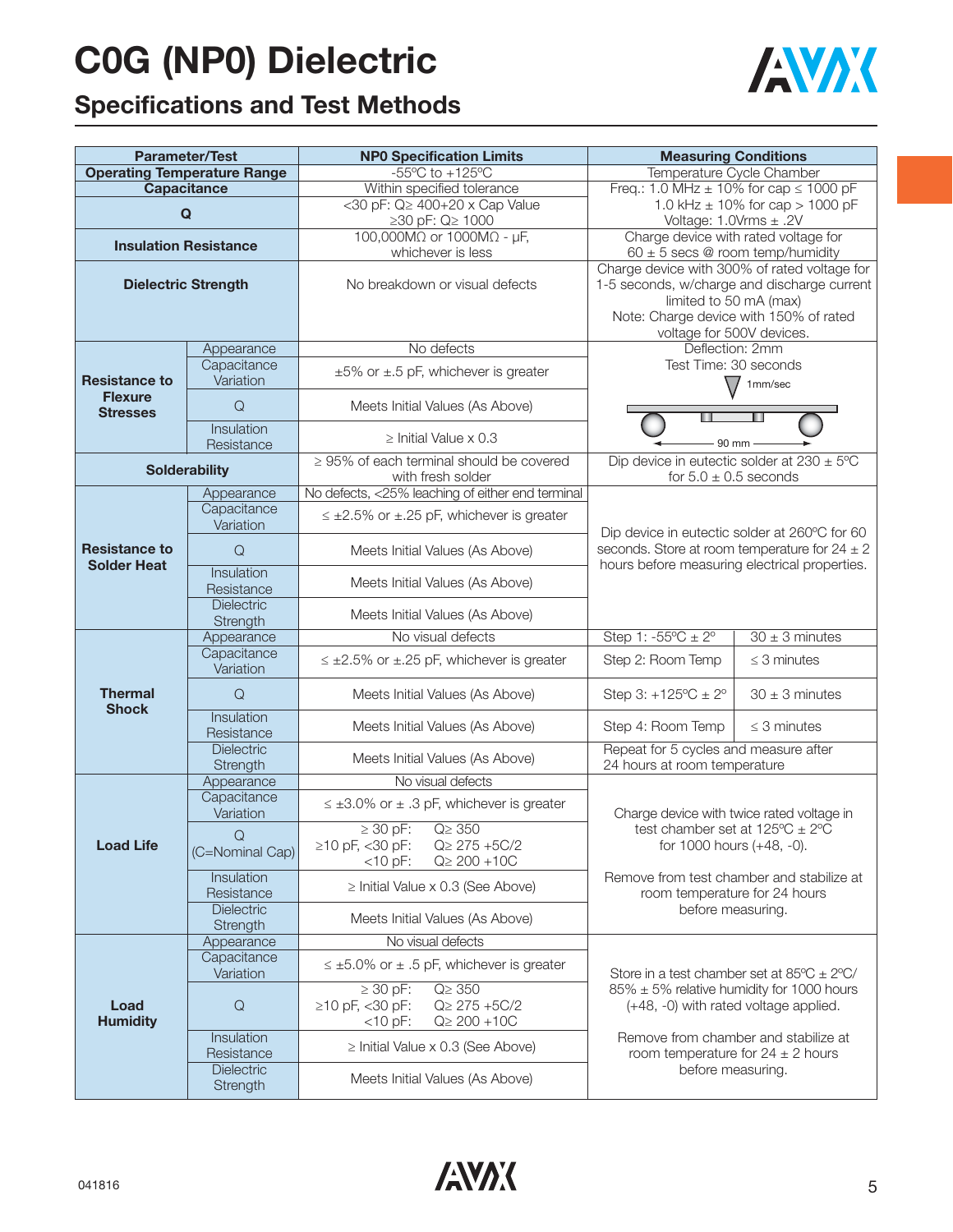

## **Specifications and Test Methods**

|                                            | <b>Parameter/Test</b>              | <b>NPO Specification Limits</b>                                           | <b>Measuring Conditions</b>                                                    |  |  |  |  |  |  |  |
|--------------------------------------------|------------------------------------|---------------------------------------------------------------------------|--------------------------------------------------------------------------------|--|--|--|--|--|--|--|
|                                            | <b>Operating Temperature Range</b> | $-55^{\circ}$ C to $+125^{\circ}$ C                                       | Temperature Cycle Chamber                                                      |  |  |  |  |  |  |  |
|                                            | Capacitance                        | Within specified tolerance                                                | Freq.: 1.0 MHz $\pm$ 10% for cap $\leq$ 1000 pF                                |  |  |  |  |  |  |  |
| $\mathbf Q$                                |                                    | <30 pF: Q≥ 400+20 x Cap Value                                             | 1.0 kHz $\pm$ 10% for cap > 1000 pF                                            |  |  |  |  |  |  |  |
|                                            |                                    | ≥30 pF: Q≥ 1000                                                           | Voltage: $1.0Vrms \pm .2V$                                                     |  |  |  |  |  |  |  |
| <b>Insulation Resistance</b>               |                                    | 100,000MΩ or 1000MΩ - μF,                                                 | Charge device with rated voltage for                                           |  |  |  |  |  |  |  |
|                                            |                                    | whichever is less                                                         | 60 $\pm$ 5 secs @ room temp/humidity                                           |  |  |  |  |  |  |  |
|                                            |                                    |                                                                           | Charge device with 300% of rated voltage for                                   |  |  |  |  |  |  |  |
|                                            | <b>Dielectric Strength</b>         | No breakdown or visual defects                                            | 1-5 seconds, w/charge and discharge current<br>limited to 50 mA (max)          |  |  |  |  |  |  |  |
|                                            |                                    |                                                                           | Note: Charge device with 150% of rated                                         |  |  |  |  |  |  |  |
|                                            |                                    |                                                                           | voltage for 500V devices.                                                      |  |  |  |  |  |  |  |
|                                            | Appearance                         | No defects                                                                | Deflection: 2mm                                                                |  |  |  |  |  |  |  |
|                                            | Capacitance                        |                                                                           | Test Time: 30 seconds                                                          |  |  |  |  |  |  |  |
| <b>Resistance to</b>                       | Variation                          | $\pm 5\%$ or $\pm .5$ pF, whichever is greater                            | 1mm/sec                                                                        |  |  |  |  |  |  |  |
| <b>Flexure</b>                             |                                    |                                                                           |                                                                                |  |  |  |  |  |  |  |
| <b>Stresses</b>                            | $\mathsf Q$                        | Meets Initial Values (As Above)                                           | 90 mm                                                                          |  |  |  |  |  |  |  |
|                                            | Insulation                         | $\geq$ Initial Value x 0.3                                                |                                                                                |  |  |  |  |  |  |  |
|                                            | Resistance                         |                                                                           |                                                                                |  |  |  |  |  |  |  |
|                                            | <b>Solderability</b>               | $\geq$ 95% of each terminal should be covered                             | Dip device in eutectic solder at $230 \pm 5^{\circ}$ C                         |  |  |  |  |  |  |  |
|                                            |                                    | with fresh solder                                                         | for $5.0 \pm 0.5$ seconds                                                      |  |  |  |  |  |  |  |
|                                            | Appearance<br>Capacitance          | No defects, <25% leaching of either end terminal                          |                                                                                |  |  |  |  |  |  |  |
|                                            | Variation                          | $\leq \pm 2.5\%$ or $\pm .25$ pF, whichever is greater                    |                                                                                |  |  |  |  |  |  |  |
| <b>Resistance to</b><br><b>Solder Heat</b> |                                    |                                                                           | Dip device in eutectic solder at 260°C for 60                                  |  |  |  |  |  |  |  |
|                                            | $\mathsf Q$                        | Meets Initial Values (As Above)                                           | seconds. Store at room temperature for $24 \pm 2$                              |  |  |  |  |  |  |  |
|                                            | Insulation                         |                                                                           | hours before measuring electrical properties.                                  |  |  |  |  |  |  |  |
|                                            | Resistance                         | Meets Initial Values (As Above)                                           |                                                                                |  |  |  |  |  |  |  |
|                                            | <b>Dielectric</b>                  | Meets Initial Values (As Above)                                           |                                                                                |  |  |  |  |  |  |  |
|                                            | Strength                           |                                                                           |                                                                                |  |  |  |  |  |  |  |
|                                            | Appearance                         | No visual defects                                                         | Step 1: $-55^{\circ}C \pm 2^{\circ}$<br>$30 \pm 3$ minutes                     |  |  |  |  |  |  |  |
|                                            | Capacitance                        | $\leq \pm 2.5\%$ or $\pm .25$ pF, whichever is greater                    | Step 2: Room Temp<br>$\leq$ 3 minutes                                          |  |  |  |  |  |  |  |
|                                            | Variation                          |                                                                           |                                                                                |  |  |  |  |  |  |  |
| <b>Thermal</b><br><b>Shock</b>             | $\mathsf Q$                        | Meets Initial Values (As Above)                                           | Step 3: $+125^{\circ}C \pm 2^{\circ}$<br>$30 \pm 3$ minutes                    |  |  |  |  |  |  |  |
|                                            | Insulation<br>Resistance           | Meets Initial Values (As Above)                                           | Step 4: Room Temp<br>$\leq$ 3 minutes                                          |  |  |  |  |  |  |  |
|                                            | <b>Dielectric</b>                  |                                                                           | Repeat for 5 cycles and measure after<br>24 hours at room temperature          |  |  |  |  |  |  |  |
|                                            | Strength                           | Meets Initial Values (As Above)                                           |                                                                                |  |  |  |  |  |  |  |
|                                            | Appearance                         | No visual defects                                                         |                                                                                |  |  |  |  |  |  |  |
|                                            | Capacitance                        | $\leq \pm 3.0\%$ or $\pm$ .3 pF, whichever is greater                     |                                                                                |  |  |  |  |  |  |  |
|                                            | Variation                          |                                                                           | Charge device with twice rated voltage in                                      |  |  |  |  |  |  |  |
| <b>Load Life</b>                           | $\Omega$                           | $\geq 30$ pF:<br>$Q \geq 350$<br>$≥10$ pF, <30 pF:<br>$Q \geq 275 + 5C/2$ | test chamber set at $125^{\circ}C \pm 2^{\circ}C$<br>for 1000 hours (+48, -0). |  |  |  |  |  |  |  |
|                                            | (C=Nominal Cap)                    | $<$ 10 pF:<br>$Q \geq 200 + 10C$                                          |                                                                                |  |  |  |  |  |  |  |
|                                            | Insulation                         |                                                                           | Remove from test chamber and stabilize at                                      |  |  |  |  |  |  |  |
|                                            | Resistance                         | $\ge$ Initial Value x 0.3 (See Above)                                     | room temperature for 24 hours                                                  |  |  |  |  |  |  |  |
|                                            | Dielectric                         | Meets Initial Values (As Above)                                           | before measuring.                                                              |  |  |  |  |  |  |  |
|                                            | Strength                           |                                                                           |                                                                                |  |  |  |  |  |  |  |
|                                            | Appearance                         | No visual defects                                                         |                                                                                |  |  |  |  |  |  |  |
|                                            | Capacitance<br>Variation           | $\leq \pm 5.0\%$ or $\pm .5$ pF, whichever is greater                     | Store in a test chamber set at $85^{\circ}C \pm 2^{\circ}C/$                   |  |  |  |  |  |  |  |
|                                            |                                    | $\geq 30$ pF:<br>$Q \geq 350$                                             | $85\% \pm 5\%$ relative humidity for 1000 hours                                |  |  |  |  |  |  |  |
| Load                                       | $\mathsf Q$                        | $≥10$ pF, <30 pF:<br>$Q \geq 275 + 5C/2$                                  | (+48, -0) with rated voltage applied.                                          |  |  |  |  |  |  |  |
| <b>Humidity</b>                            |                                    | $Q \ge 200 + 10C$<br>$<$ 10 pF:                                           |                                                                                |  |  |  |  |  |  |  |
|                                            | Insulation                         | $\ge$ Initial Value x 0.3 (See Above)                                     | Remove from chamber and stabilize at                                           |  |  |  |  |  |  |  |
|                                            | Resistance                         |                                                                           | room temperature for $24 \pm 2$ hours                                          |  |  |  |  |  |  |  |
|                                            | <b>Dielectric</b><br>Strength      | Meets Initial Values (As Above)                                           | before measuring.                                                              |  |  |  |  |  |  |  |
|                                            |                                    |                                                                           |                                                                                |  |  |  |  |  |  |  |

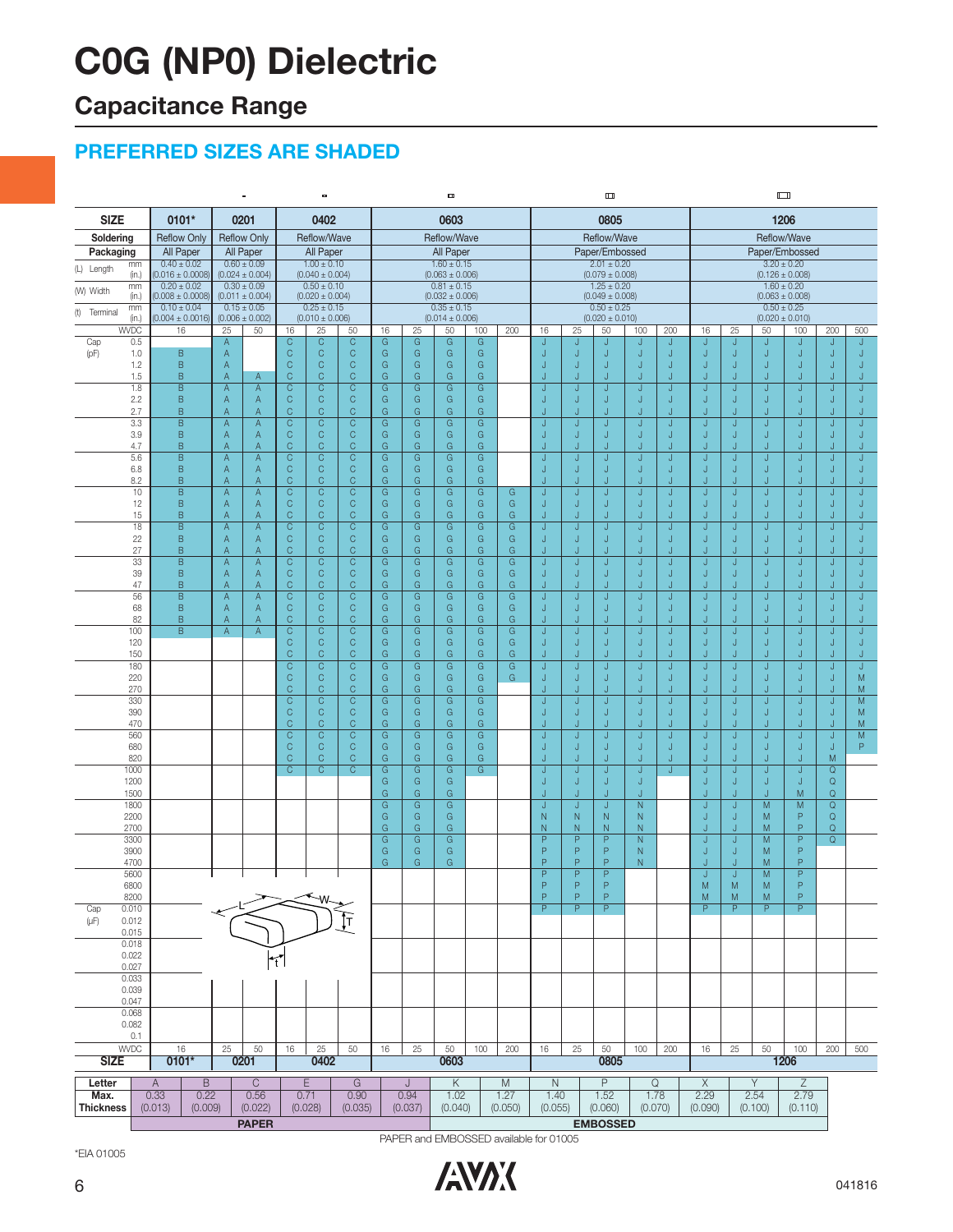## **Capacitance Range**

### **PREFERRED SIZES ARE SHADED**

|                                    |                                         |                                                       | $\blacksquare$                                                                                          |                                              | $\blacksquare$                         |                         |                                                             |                     |                                        | $\Box$                                 |                     |                  |                                        |                                        |                |                     |                              |          |  |
|------------------------------------|-----------------------------------------|-------------------------------------------------------|---------------------------------------------------------------------------------------------------------|----------------------------------------------|----------------------------------------|-------------------------|-------------------------------------------------------------|---------------------|----------------------------------------|----------------------------------------|---------------------|------------------|----------------------------------------|----------------------------------------|----------------|---------------------|------------------------------|----------|--|
| <b>SIZE</b>                        | 0101*                                   | 0201                                                  | 0402                                                                                                    | 0603                                         |                                        |                         |                                                             | 0805                |                                        |                                        |                     | 1206             |                                        |                                        |                |                     |                              |          |  |
| Soldering                          | <b>Reflow Only</b>                      | <b>Reflow Only</b>                                    | Reflow/Wave                                                                                             | Reflow/Wave                                  |                                        |                         |                                                             | Reflow/Wave         |                                        |                                        |                     | Reflow/Wave      |                                        |                                        |                |                     |                              |          |  |
| Packaging                          | All Paper                               | All Paper                                             | All Paper                                                                                               | All Paper                                    |                                        |                         |                                                             | Paper/Embossed      |                                        |                                        |                     | Paper/Embossed   |                                        |                                        |                |                     |                              |          |  |
| mm<br>(L) Length<br>(in.)          | $0.40 \pm 0.02$<br>$(0.016 \pm 0.0008)$ | $0.60 \pm 0.09$<br>$(0.024 \pm 0.004)$                | $1.00 \pm 0.10$<br>$(0.040 \pm 0.004)$                                                                  |                                              | $1.60 \pm 0.15$<br>$(0.063 \pm 0.006)$ |                         |                                                             |                     | $2.01 \pm 0.20$<br>$(0.079 \pm 0.008)$ |                                        |                     |                  |                                        | $3.20 \pm 0.20$<br>$(0.126 \pm 0.008)$ |                |                     |                              |          |  |
| mm<br>(W) Width                    | $0.20 \pm 0.02$                         | $0.30 \pm 0.09$                                       | $0.50 \pm 0.10$                                                                                         | $0.81 \pm 0.15$                              |                                        |                         |                                                             | $1.25 \pm 0.20$     |                                        |                                        |                     |                  | $1.60 \pm 0.20$                        |                                        |                |                     |                              |          |  |
| (in.)<br>mm                        | $0.008 \pm 0.0008$<br>$0.10 \pm 0.04$   | $(0.011 \pm 0.004)$<br>$0.15 \pm 0.05$                | $(0.020 \pm 0.004)$<br>$0.25 \pm 0.15$                                                                  |                                              | $(0.032 \pm 0.006)$<br>$0.35 \pm 0.15$ |                         |                                                             |                     |                                        | $(0.049 \pm 0.008)$<br>$0.50 \pm 0.25$ |                     |                  | $(0.063 \pm 0.008)$<br>$0.50 \pm 0.25$ |                                        |                |                     |                              |          |  |
| (t) Terminal<br>(in.)              | $(0.004 \pm 0.0016)$                    | $(0.006 \pm 0.002)$                                   | $(0.010 \pm 0.006)$                                                                                     |                                              | $(0.014 \pm 0.006)$                    |                         |                                                             | $(0.020 \pm 0.010)$ |                                        |                                        |                     |                  | $(0.020 \pm 0.010)$                    |                                        |                |                     |                              |          |  |
| <b>WVDC</b><br>Cap<br>0.5          | 16                                      | 25<br>50<br>$\mathsf A$                               | 25<br>50<br>16<br>$\overline{C}$<br>$\overline{C}$<br>$\overline{C}$                                    | 16<br>25<br>$\overline{G}$<br>$\overline{G}$ | 50<br>G                                | 100<br>$\overline{G}$   | 200                                                         | 16                  | 25                                     | 50<br>J                                | 100                 | 200<br>IJ        | 16                                     | 25<br>J                                | 50<br>J        | 100<br>IJ           | 200<br>N                     | 500<br>J |  |
| (pF)<br>1.0                        | B                                       | $\mathsf A$                                           | $\mathsf C$<br>$\mathsf C$<br>$\mathsf{C}$                                                              | G<br>G                                       | G                                      | G                       |                                                             |                     | J                                      | J                                      | J                   | J                | J                                      | J                                      | J              | J                   | J                            | J        |  |
| 1.2                                | B                                       | A                                                     | $\mathsf C$<br>$\mathsf C$<br>$\mathsf{C}$                                                              | G<br>G                                       | G                                      | G                       |                                                             | J                   | J                                      | J                                      | J                   | J                | J                                      | J                                      | J              | IJ                  | IJ                           | J        |  |
| 1.5<br>1.8                         | B<br>B                                  | Α<br>$\mathsf{A}$<br>A<br>$\mathsf A$                 | $\mathsf{C}$<br>$\mathsf C$<br>$\mathsf{C}$<br>$\overline{C}$<br>$\overline{C}$<br>$\overline{C}$       | G<br>G<br>G<br>G                             | G<br>G                                 | G<br>G                  |                                                             | J                   | .I<br>J                                | J                                      | J<br>J              | IJ<br>J          | J                                      | IJ<br>J                                | J<br>J         | IJ<br>J             | IJ<br>IJ                     | ÷.<br>J  |  |
| 2.2                                | B                                       | $\mathsf A$<br>Α                                      | $\mathsf C$<br>$\mathsf C$<br>$\mathsf{C}$                                                              | G<br>G                                       | G                                      | G                       |                                                             |                     | O                                      | IJ                                     | J                   | J                | J                                      | J                                      | J              | J                   | IJ                           | J        |  |
| 2.7                                | B<br>B                                  | $\mathsf A$<br>$\overline{A}$                         | $\mathsf C$<br>$\mathsf C$<br>$\mathsf{C}$<br>$\overline{C}$<br>$\overline{C}$                          | G<br>G<br>$\overline{G}$<br>G                | G<br>G                                 | G                       |                                                             | J                   | J<br>J                                 | J                                      | J                   | J<br>J           | J<br>J.                                | J                                      | J              | IJ                  | IJ                           | J<br>J   |  |
| 3.3<br>3.9                         | B                                       | A<br>$\overline{A}$<br>$\mathsf A$<br>$\mathsf A$     | $\overline{C}$<br>$\mathsf{C}$<br>$\mathsf C$<br>$\mathsf{C}$                                           | G<br>G                                       | G                                      | G<br>G                  |                                                             | J                   | J                                      | J<br>J                                 | J<br>J              | J                | J                                      | J<br>J                                 | J<br>J         | J<br>IJ             | IJ<br>IJ                     | J        |  |
| 4.7                                | B                                       | $\overline{A}$<br>Α                                   | $\mathsf C$<br>$\mathsf C$<br>$\mathsf C$                                                               | G<br>G                                       | G                                      | G                       |                                                             |                     | J                                      |                                        | J                   | J                | J                                      | J                                      | J              | J                   | J                            |          |  |
| 5.6<br>6.8                         | B<br>B                                  | A<br>$\overline{A}$<br>A<br>A                         | $\mathsf C$<br>$\mathsf C$<br>$\mathsf C$<br>$\mathsf C$<br>C<br>$\mathsf C$                            | G<br>G<br>G<br>G                             | G<br>G                                 | G<br>G                  |                                                             | J<br>J              | J<br>J                                 | J                                      | J<br>J              | J<br>J           | J<br>J                                 | J<br>J                                 | J<br>J         | J<br>J              | IJ<br>J                      | J<br>J   |  |
| 8.2                                | B                                       | $\overline{A}$<br>A                                   | $\mathsf{C}$<br>C<br>$\mathsf{C}$                                                                       | G<br>G                                       | G                                      | G                       |                                                             |                     | J                                      | J                                      | J                   | IJ               |                                        | IJ                                     | J              | J                   | IJ                           |          |  |
| 10                                 | B                                       | A<br>$\mathsf A$                                      | $\overline{C}$<br>$\overline{C}$<br>$\overline{C}$                                                      | $\overline{G}$<br>$\overline{G}$             | $\overline{G}$                         | G                       | $\overline{G}$                                              |                     | J                                      | J                                      | J                   | J                | J                                      | J                                      | J              | J                   | J                            | J        |  |
| 12<br>15                           | B<br>B                                  | $\mathsf{A}$<br>A<br>Α<br>$\mathsf{A}$                | $\mathsf C$<br>$\mathsf C$<br>$\mathsf{C}$<br>C<br>C<br>C                                               | G<br>G<br>G<br>G                             | G<br>G                                 | G<br>G                  | G<br>G                                                      | J                   | J<br>J                                 | J                                      | J<br>J              | J                | J                                      | J<br>IJ                                | J<br>J         | IJ<br>J             | IJ<br>IJ                     | J        |  |
| 18                                 | B                                       | $\mathsf A$<br>$\mathsf A$                            | $\mathsf C$<br>C<br>C                                                                                   | G<br>G                                       | G                                      | G                       | G                                                           | J                   | J                                      | J                                      | J                   | J                | J                                      | J                                      | J              | J                   | IJ                           | J        |  |
| 22<br>27                           | B<br>B                                  | A<br>$\mathsf{A}$<br>Α<br>$\mathsf{A}$                | $\mathsf C$<br>$\mathsf C$<br>$\mathsf{C}$<br>$\mathsf C$<br>$\mathsf C$<br>$\mathsf{C}$                | G<br>G<br>G<br>G                             | G<br>G                                 | G<br>G                  | G<br>G                                                      | J<br>IJ             | J<br>O                                 | IJ                                     | J<br>J              | IJ<br>IJ         | J<br>J                                 | IJ<br>IJ                               | J<br>J         | J                   | N<br>IJ                      | J<br>IJ  |  |
| 33                                 | $\overline{B}$                          | A<br>$\overline{A}$                                   | $\overline{\mathrm{c}}$<br>$\overline{\text{c}}$<br>$\overline{\mathsf{C}}$                             | $\overline{G}$<br>$\overline{G}$             | G                                      | $\overline{\mathsf{G}}$ | $\overline{G}$                                              | J                   | J.                                     | J                                      | J                   | J                | J.                                     | J                                      | J              | J                   | J                            | J        |  |
| 39                                 | B                                       | A<br>$\mathsf{A}$                                     | $\mathbb{C}$<br>$\mathsf C$<br>$\mathsf{C}$                                                             | G<br>G                                       | G                                      | G                       | G                                                           | J                   | J                                      | J                                      | J                   | J                | J                                      | J                                      | J              | J                   | J                            | J        |  |
| 47<br>56                           | B<br>B                                  | Α<br>$\overline{A}$<br>$\overline{A}$<br>A            | $\mathsf C$<br>$\mathsf C$<br>$\mathsf C$<br>$\overline{C}$<br>$\overline{C}$<br>$\overline{C}$         | G<br>G<br>$\overline{G}$<br>G                | G<br>G                                 | G<br>G                  | G<br>$\overline{G}$                                         |                     | J                                      | J                                      | J                   | J                | J                                      | J                                      | J<br>J         | IJ                  | IJ                           | J        |  |
| 68                                 | B                                       | $\mathsf{A}$<br>A                                     | $\mathsf C$<br>$\mathsf C$<br>$\mathsf{C}$                                                              | G<br>G                                       | G                                      | G                       | G                                                           | J                   | J                                      | J                                      | J                   | J                | J                                      | J                                      | J              | J                   | J                            | J        |  |
| 82<br>100                          | B<br>$\overline{B}$                     | Α<br>$\mathsf{A}$<br>$\overline{A}$<br>$\overline{A}$ | $\mathsf C$<br>$\mathsf C$<br>$\mathsf{C}$<br>$\overline{\text{c}}$<br>$\overline{C}$<br>$\overline{C}$ | G<br>G<br>$\overline{G}$<br>$\overline{G}$   | G<br>G                                 | G<br>$\overline{G}$     | G<br>$\overline{G}$                                         | J<br>J              | J<br>J                                 | J<br>J                                 | J<br>J              | IJ<br>J          | J.<br>J                                | IJ<br>J                                | J<br>J         | IJ<br>J             | IJ<br>IJ                     | J.<br>J. |  |
| 120                                |                                         |                                                       | $\mathsf{C}$<br>$\mathsf C$<br>$\mathsf{C}$                                                             | G<br>G                                       | G                                      | G                       | G                                                           | IJ                  | J                                      | IJ                                     | J                   | J                | J                                      | J                                      | J              | J                   | J                            | IJ       |  |
| 150                                |                                         |                                                       | $\mathsf C$<br>$\mathsf C$<br>$\mathsf{C}$                                                              | G<br>G                                       | G                                      | G                       | G                                                           | J.                  | J                                      | J                                      | J                   | IJ               | J.                                     | IJ                                     | J              | IJ                  | IJ                           | J.       |  |
| 180<br>220                         |                                         |                                                       | $\mathsf{C}$<br>$\mathsf{C}$<br>$\mathsf C$<br>$\mathsf C$<br>$\mathsf C$<br>$\mathsf{C}$               | G<br>G<br>G<br>G                             | G<br>G                                 | G<br>G                  | G<br>G                                                      | J<br>J              | IJ<br>J                                | J                                      | J<br>J              | J<br>J           | IJ<br>J                                | J<br>J                                 | J<br>J         | IJ<br>IJ            | IJ<br>J                      | J<br>M   |  |
| 270                                |                                         |                                                       | $\mathbb{C}$<br>$\mathsf C$<br>$\mathsf{C}$                                                             | G<br>G                                       | G                                      | G                       |                                                             | J                   | J                                      | J                                      | J                   | J                | J                                      | J                                      | J              | J                   | IJ                           | M        |  |
| 330                                |                                         |                                                       | $\overline{C}$<br>$\overline{C}$<br>$\overline{C}$<br>$\mathsf C$                                       | G<br>G                                       | G                                      | G                       |                                                             | J                   | J                                      |                                        | J                   | J                | J                                      | J                                      | J              | Ū                   | J                            | M        |  |
| 390<br>470                         |                                         |                                                       | $\mathbb{C}$<br>$\mathsf{C}$<br>$\mathsf C$<br>$\mathsf{C}$<br>C                                        | G<br>G<br>G<br>G                             | G<br>G                                 | G<br>G                  |                                                             | J<br>J              | J<br>J                                 | J                                      | J<br>J              | $\mathsf J$<br>J | J<br>J                                 | J<br>J                                 | J<br>J         | J<br>J              | J<br>IJ                      | M<br>M   |  |
| 560                                |                                         |                                                       | $\mathsf{C}$<br>$\mathsf C$<br>$\mathsf C$                                                              | G<br>G                                       | G                                      | G                       |                                                             |                     | J                                      | J                                      | J                   | J                | J.                                     | J                                      | J              | J                   | IJ                           | M        |  |
| 680<br>820                         |                                         |                                                       | $\mathsf{C}$<br>C<br>$\mathsf{C}$<br>$\mathsf C$<br>C<br>C                                              | G<br>G<br>G<br>G                             | G<br>G                                 | G<br>G                  |                                                             | J<br>J              | J<br>J                                 | J<br>J                                 | J<br>J              | J<br>J           | J<br>J                                 | J<br>J                                 | J<br>J         | IJ<br>IJ            | J<br>M                       | P        |  |
| 1000                               |                                         |                                                       | $\overline{C}$<br>$\overline{C}$<br>C.                                                                  | $\overline{G}$<br>G                          | G                                      | G                       |                                                             | J                   | J                                      | J                                      | J                   | J                | J                                      | J                                      | J              | J                   | Q                            |          |  |
| 1200                               |                                         |                                                       |                                                                                                         | G<br>G                                       | G                                      |                         |                                                             | J<br>J              | J                                      | IJ<br>J                                | J                   |                  | J<br>J                                 | J<br>IJ                                | J              | IJ                  | Q                            |          |  |
| 1500<br>1800                       |                                         |                                                       |                                                                                                         | G<br>G<br>G<br>G                             | G<br>G                                 |                         |                                                             | J                   | J<br>J                                 | J                                      | J<br>N              |                  | J                                      | J                                      | J<br>M         | M<br>M              | $\mathsf Q$<br>Q             |          |  |
| 2200                               |                                         |                                                       |                                                                                                         | G<br>G                                       | G                                      |                         |                                                             | N                   | N                                      | N                                      | N                   |                  | J                                      | J                                      | M              | P                   | Q                            |          |  |
| 2700<br>3300                       |                                         |                                                       |                                                                                                         | G<br>G<br>$\overline{G}$<br>G                | G<br>G                                 |                         |                                                             | N<br>P              | N<br>$\overline{P}$                    | N<br>$\overline{P}$                    | N<br>$\overline{N}$ |                  | J<br>J                                 | IJ<br>J                                | M<br>M         | P<br>$\overline{P}$ | Q<br>$\overline{\mathsf{Q}}$ |          |  |
| 3900                               |                                         |                                                       |                                                                                                         | G<br>G                                       | G                                      |                         |                                                             | P                   | P                                      | P                                      | N                   |                  | J                                      | J                                      | M              | P                   |                              |          |  |
| 4700<br>5600                       |                                         |                                                       |                                                                                                         | G<br>G                                       | G                                      |                         |                                                             | P<br>P              | P<br>$\overline{P}$                    | P<br>P                                 | $\mathsf{N}$        |                  | J                                      | IJ<br>J                                | M<br>M         | P<br>P              |                              |          |  |
| 6800                               |                                         |                                                       |                                                                                                         |                                              |                                        |                         |                                                             | D                   | P                                      | P                                      |                     |                  | Μ                                      | ${\sf M}$                              | M              | P                   |                              |          |  |
| 8200                               |                                         |                                                       | $\sim_{W}$                                                                                              |                                              |                                        |                         |                                                             | P                   | P.                                     | $\mathsf{P}$                           |                     |                  | ${\sf M}$                              | M                                      | M              | P                   |                              |          |  |
| 0.010<br>Cap<br>$(\mu F)$<br>0.012 |                                         |                                                       |                                                                                                         |                                              |                                        |                         |                                                             | $\overline{P}$      | $\overline{P}$                         | $\overline{P}$                         |                     |                  | $\overline{P}$                         | $\overline{P}$                         | P              | $\overline{P}$      |                              |          |  |
| 0.015                              |                                         |                                                       |                                                                                                         |                                              |                                        |                         |                                                             |                     |                                        |                                        |                     |                  |                                        |                                        |                |                     |                              |          |  |
| 0.018<br>0.022                     |                                         |                                                       |                                                                                                         |                                              |                                        |                         |                                                             |                     |                                        |                                        |                     |                  |                                        |                                        |                |                     |                              |          |  |
| 0.027                              |                                         |                                                       | $ \Upsilon $                                                                                            |                                              |                                        |                         |                                                             |                     |                                        |                                        |                     |                  |                                        |                                        |                |                     |                              |          |  |
| 0.033                              |                                         |                                                       |                                                                                                         |                                              |                                        |                         |                                                             |                     |                                        |                                        |                     |                  |                                        |                                        |                |                     |                              |          |  |
| 0.039<br>0.047                     |                                         |                                                       |                                                                                                         |                                              |                                        |                         |                                                             |                     |                                        |                                        |                     |                  |                                        |                                        |                |                     |                              |          |  |
| 0.068                              |                                         |                                                       |                                                                                                         |                                              |                                        |                         |                                                             |                     |                                        |                                        |                     |                  |                                        |                                        |                |                     |                              |          |  |
| 0.082<br>0.1                       |                                         |                                                       |                                                                                                         |                                              |                                        |                         |                                                             |                     |                                        |                                        |                     |                  |                                        |                                        |                |                     |                              |          |  |
| <b>WVDC</b>                        | 16                                      | 25<br>50                                              | 16<br>25<br>50                                                                                          | 16<br>25                                     | 50                                     | 100                     | 200                                                         | 16                  | 25                                     | 50                                     | 100                 | 200              | 16                                     | 25                                     | 50             | 100                 | 200                          | 500      |  |
| <b>SIZE</b>                        | $0101*$                                 | 0201                                                  | 0402                                                                                                    |                                              | 0603                                   |                         |                                                             |                     |                                        | 0805                                   |                     |                  |                                        |                                        |                | 1206                |                              |          |  |
| Letter                             | $\overline{B}$<br>$\overline{A}$        | $\overline{C}$                                        | Ε<br>G                                                                                                  | J                                            | $\overline{\mathsf{K}}$                | M                       | $\overline{P}$<br>$\overline{\mathsf{Q}}$<br>$\overline{N}$ |                     |                                        |                                        |                     | X                |                                        | $\overline{Y}$                         | $\overline{Z}$ |                     |                              |          |  |
| Max.                               | 0.33<br>0.22                            | 0.56                                                  | 0.71<br>0.90                                                                                            | 0.94                                         | 1.02                                   | 1.27                    |                                                             | 1.40                |                                        | 1.52                                   | 1.78                |                  | 2.29                                   |                                        | 2.54           | 2.79                |                              |          |  |
| <b>Thickness</b>                   | (0.013)<br>(0.009)                      | (0.022)                                               | (0.035)<br>(0.028)                                                                                      | (0.037)                                      | (0.040)                                | (0.050)                 |                                                             | (0.055)             |                                        | (0.060)                                | (0.070)             |                  | (0.090)                                |                                        | (0.100)        | (0.110)             |                              |          |  |
|                                    |                                         | <b>EMBOSSED</b><br><b>PAPER</b>                       |                                                                                                         |                                              |                                        |                         |                                                             |                     |                                        |                                        |                     |                  |                                        |                                        |                |                     |                              |          |  |

\*EIA 01005

PAPER and EMBOSSED available for 01005